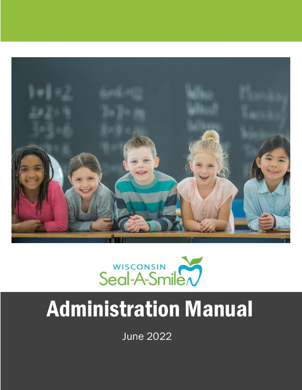



# Administration Manual

June 2022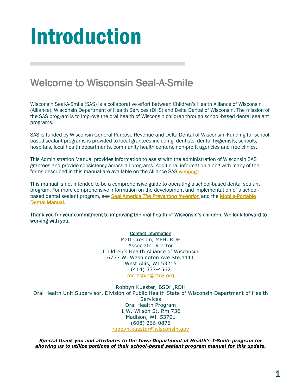# Introduction

### Welcome to Wisconsin Seal-A-Smile

Wisconsin Seal-A-Smile (SAS) is a collaborative effort between Children's Health Alliance of Wisconsin (Alliance), Wisconsin Department of Health Services (DHS) and Delta Dental of Wisconsin. The mission of the SAS program is to improve the oral health of Wisconsin children through school-based dental sealant programs.

SAS is funded by Wisconsin General Purpose Revenue and Delta Dental of Wisconsin. Funding for schoolbased sealant programs is provided to local grantees including dentists, dental hygienists, schools, hospitals, local health departments, community health centers, non-profit agencies and free clinics.

This Administration Manual provides information to assist with the administration of Wisconsin SAS grantees and provide consistency across all programs. Additional information along with many of the forms described in this manual are available on the Alliance SAS [webpage.](http://www.chawisconsin.org/sas)

This manual is not intended to be a comprehensive guide to operating a school-based dental sealant program. For more comprehensive information on the development and implementation of a schoolbased dental sealant program, see Seal America *[The Prevention Invention](http://www.mchoralhealth.org/Seal/Index.html)* and th[e Mobile-Portable](http://www.mobile-portabledentalmanual.com/index.html)  [Dental Manual.](http://www.mobile-portabledentalmanual.com/index.html)

Thank you for your commitment to improving the oral health of Wisconsin's children. We look forward to working with you.

#### Contact information

Matt Crespin, MPH, RDH Associate Director Children's Health Alliance of Wisconsin 6737 W. Washington Ave Ste.1111 West Allis, WI 53215 (414) 337-4562 [mcrespin@chw.org](mailto:mcrespin@chw.org)

Robbyn Kuester, BSDH,RDH Oral Health Unit Supervisor, Division of Public Health State of Wisconsin Department of Health Services Oral Health Program 1 W. Wilson St. Rm 736 Madison, WI 53701 (608) 266-0876 [robbyn.kuester@wisconsin.gov](mailto:robbyn.kuester@wisconsin.gov)

*Special thank you and attributes to the Iowa Department of Health's I-Smile program for allowing us to utilize portions of their school-based sealant program manual for this update.*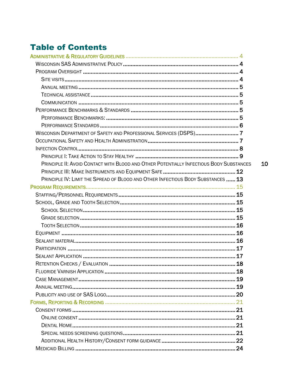### **Table of Contents**

| WISCONSIN DEPARTMENT OF SAFETY AND PROFESSIONAL SERVICES (DSPS)7                        |    |
|-----------------------------------------------------------------------------------------|----|
|                                                                                         |    |
|                                                                                         |    |
|                                                                                         |    |
| PRINCIPLE II: AVOID CONTACT WITH BLOOD AND OTHER POTENTIALLY INFECTIOUS BODY SUBSTANCES | 10 |
|                                                                                         |    |
| PRINCIPLE IV: LIMIT THE SPREAD OF BLOOD AND OTHER INFECTIOUS BODY SUBSTANCES  13        |    |
|                                                                                         |    |
|                                                                                         |    |
|                                                                                         |    |
|                                                                                         |    |
|                                                                                         |    |
|                                                                                         |    |
|                                                                                         |    |
|                                                                                         |    |
|                                                                                         |    |
|                                                                                         |    |
|                                                                                         |    |
|                                                                                         |    |
|                                                                                         |    |
|                                                                                         |    |
|                                                                                         |    |
|                                                                                         |    |
|                                                                                         |    |
|                                                                                         |    |
|                                                                                         |    |
|                                                                                         |    |
|                                                                                         |    |
|                                                                                         |    |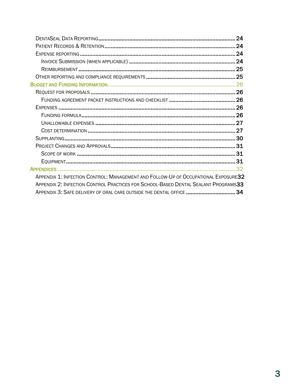|                                                                                                                                                                                                                                                  | 24 |
|--------------------------------------------------------------------------------------------------------------------------------------------------------------------------------------------------------------------------------------------------|----|
|                                                                                                                                                                                                                                                  |    |
|                                                                                                                                                                                                                                                  |    |
|                                                                                                                                                                                                                                                  |    |
|                                                                                                                                                                                                                                                  |    |
|                                                                                                                                                                                                                                                  |    |
|                                                                                                                                                                                                                                                  |    |
|                                                                                                                                                                                                                                                  |    |
|                                                                                                                                                                                                                                                  |    |
|                                                                                                                                                                                                                                                  |    |
|                                                                                                                                                                                                                                                  |    |
|                                                                                                                                                                                                                                                  |    |
|                                                                                                                                                                                                                                                  |    |
|                                                                                                                                                                                                                                                  |    |
|                                                                                                                                                                                                                                                  |    |
|                                                                                                                                                                                                                                                  |    |
|                                                                                                                                                                                                                                                  |    |
|                                                                                                                                                                                                                                                  |    |
| APPENDIX 1: INFECTION CONTROL: MANAGEMENT AND FOLLOW-UP OF OCCUPATIONAL EXPOSURE32<br>APPENDIX 2: INFECTION CONTROL PRACTICES FOR SCHOOL-BASED DENTAL SEALANT PROGRAMS33<br>APPENDIX 3: SAFE DELIVERY OF ORAL CARE OUTSIDE THE DENTAL OFFICE  34 |    |
|                                                                                                                                                                                                                                                  |    |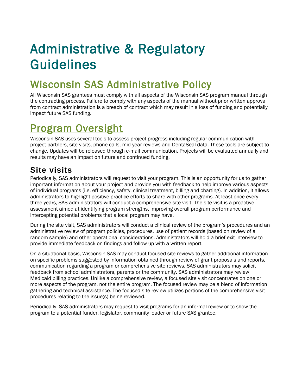# <span id="page-4-0"></span>Administrative & Regulatory Guidelines

# <span id="page-4-1"></span>Wisconsin SAS Administrative Policy

All Wisconsin SAS grantees must comply with all aspects of the Wisconsin SAS program manual through the contracting process. Failure to comply with any aspects of the manual without prior written approval from contract administration is a breach of contract which may result in a loss of funding and potentially impact future SAS funding.

# <span id="page-4-2"></span>Program Oversight

Wisconsin SAS uses several tools to assess project progress including regular communication with project partners, site visits, phone calls, mid-year reviews and DentaSeal data. These tools are subject to change. Updates will be released through e-mail communication. Projects will be evaluated annually and results may have an impact on future and continued funding.

### <span id="page-4-3"></span>**Site visits**

Periodically, SAS administrators will request to visit your program. This is an opportunity for us to gather important information about your project and provide you with feedback to help improve various aspects of individual programs (i.e. efficiency, safety, clinical treatment, billing and charting). In addition, it allows administrators to highlight positive practice efforts to share with other programs. At least once every three years, SAS administrators will conduct a comprehensive site visit. The site visit is a proactive assessment aimed at identifying program strengths, improving overall program performance and intercepting potential problems that a local program may have.

During the site visit, SAS administrators will conduct a clinical review of the program's procedures and an administrative review of program policies, procedures, use of patient records (based on review of a random sample) and other operational considerations. Administrators will hold a brief exit interview to provide immediate feedback on findings and follow up with a written report.

On a situational basis, Wisconsin SAS may conduct focused site reviews to gather additional information on specific problems suggested by information obtained through review of grant proposals and reports, communication regarding a program or comprehensive site reviews. SAS administrators may solicit feedback from school administrators, parents or the community. SAS administrators may review Medicaid billing practices. Unlike a comprehensive review, a focused site visit concentrates on one or more aspects of the program, not the entire program. The focused review may be a blend of information gathering and technical assistance. The focused site review utilizes portions of the comprehensive visit procedures relating to the issue(s) being reviewed.

Periodically, SAS administrators may request to visit programs for an informal review or to show the program to a potential funder, legislator, community leader or future SAS grantee.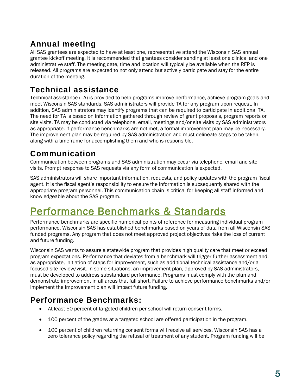### <span id="page-5-0"></span>**Annual meeting**

All SAS grantees are expected to have at least one, representative attend the Wisconsin SAS annual grantee kickoff meeting. It is recommended that grantees consider sending at least one clinical and one administrative staff. The meeting date, time and location will typically be available when the RFP is released. All programs are expected to not only attend but actively participate and stay for the entire duration of the meeting.

### <span id="page-5-1"></span>**Technical assistance**

Technical assistance (TA) is provided to help programs improve performance, achieve program goals and meet Wisconsin SAS standards. SAS administrators will provide TA for any program upon request. In addition, SAS administrators may identify programs that can be required to participate in additional TA. The need for TA is based on information gathered through review of grant proposals, program reports or site visits. TA may be conducted via telephone, email, meetings and/or site visits by SAS administrators as appropriate. If performance benchmarks are not met, a formal improvement plan may be necessary. The improvement plan may be required by SAS administration and must delineate steps to be taken, along with a timeframe for accomplishing them and who is responsible.

### <span id="page-5-2"></span>**Communication**

Communication between programs and SAS administration may occur via telephone, email and site visits. Prompt response to SAS requests via any form of communication is expected.

SAS administrators will share important information, requests, and policy updates with the program fiscal agent. It is the fiscal agent's responsibility to ensure the information is subsequently shared with the appropriate program personnel. This communication chain is critical for keeping all staff informed and knowledgeable about the SAS program.

# <span id="page-5-3"></span>Performance Benchmarks & Standards

Performance benchmarks are specific numerical points of reference for measuring individual program performance. Wisconsin SAS has established benchmarks based on years of data from all Wisconsin SAS funded programs. Any program that does not meet approved project objectives risks the loss of current and future funding.

Wisconsin SAS wants to assure a statewide program that provides high quality care that meet or exceed program expectations. Performance that deviates from a benchmark will trigger further assessment and, as appropriate, initiation of steps for improvement, such as additional technical assistance and/or a focused site review/visit. In some situations, an improvement plan, approved by SAS administrators, must be developed to address substandard performance. Programs must comply with the plan and demonstrate improvement in all areas that fall short. Failure to achieve performance benchmarks and/or implement the improvement plan will impact future funding.

### <span id="page-5-4"></span>**Performance Benchmarks:**

- At least 50 percent of targeted children per school will return consent forms.
- 100 percent of the grades at a targeted school are offered participation in the program.
- 100 percent of children returning consent forms will receive all services. Wisconsin SAS has a zero tolerance policy regarding the refusal of treatment of any student. Program funding will be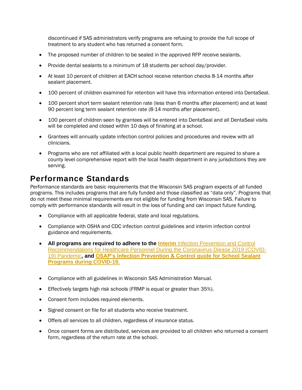discontinued if SAS administrators verify programs are refusing to provide the full scope of treatment to any student who has returned a consent form.

- The proposed number of children to be sealed in the approved RFP receive sealants.
- Provide dental sealants to a minimum of 18 students per school day/provider.
- At least 10 percent of children at EACH school receive retention checks 8-14 months after sealant placement.
- 100 percent of children examined for retention will have this information entered into DentaSeal.
- 100 percent short term sealant retention rate (less than 6 months after placement) and at least 90 percent long term sealant retention rate (8-14 months after placement).
- 100 percent of children seen by grantees will be entered into DentaSeal and all DentaSeal visits will be completed and closed within 10 days of finishing at a school.
- Grantees will annually update infection control policies and procedures and review with all clinicians.
- Programs who are not affiliated with a local public health department are required to share a county level comprehensive report with the local health department in any jurisdictions they are serving.

#### <span id="page-6-0"></span>**Performance Standards**

Performance standards are basic requirements that the Wisconsin SAS program expects of all funded programs. This includes programs that are fully funded and those classified as "data only". Programs that do not meet these minimal requirements are not eligible for funding from Wisconsin SAS. Failure to comply with performance standards will result in the loss of funding and can impact future funding.

- Compliance with all applicable federal, state and local regulations.
- Compliance with OSHA and CDC infection control guidelines and interim infection control guidance and requirements.
- **All programs are required to adhere to the Interim Infection Prevention and Control** [Recommendations for Healthcare Personnel During the Coronavirus Diease 2019 \(COVID-](https://www.cdc.gov/coronavirus/2019-ncov/hcp/infection-control-recommendations.html?CDC_AA_refVal=https%3A%2F%2Fwww.cdc.gov%2Fcoronavirus%2F2019-ncov%2Fhcp%2Fdental-settings.html)[19\) Pandemic](https://www.cdc.gov/coronavirus/2019-ncov/hcp/infection-control-recommendations.html?CDC_AA_refVal=https%3A%2F%2Fwww.cdc.gov%2Fcoronavirus%2F2019-ncov%2Fhcp%2Fdental-settings.html)**, and [OSAP's Infection Prevention & Control guide for School Sealant](https://www.osap.org/page/ipc-guide-for-ssp-during-covid-19)  [Programs during COVID-19.](https://www.osap.org/page/ipc-guide-for-ssp-during-covid-19)**
- Compliance with all guidelines in Wisconsin SAS Administration Manual.
- Effectively targets high risk schools (FRMP is equal or greater than 35%).
- Consent form includes required elements.
- Signed consent on file for all students who receive treatment.
- Offers all services to all children, regardless of insurance status.
- Once consent forms are distributed, services are provided to all children who returned a consent form, regardless of the return rate at the school.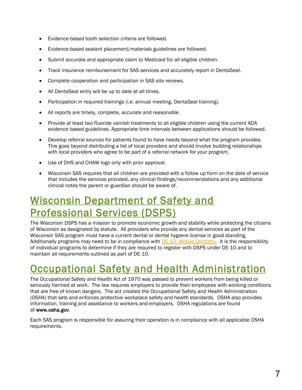- Evidence-based tooth selection criteria are followed.
- Evidence-based sealant placement/materials guidelines are followed.
- Submit accurate and appropriate claim to Medicaid for all eligible children.
- Track insurance reimbursement for SAS services and accurately report in DentaSeal.
- Complete cooperation and participation in SAS site reviews.
- All DentaSeal entry will be up to date at all times.
- Participation in required trainings (i.e. annual meeting, DentaSeal training).
- All reports are timely, complete, accurate and reasonable.
- Provide at least two fluoride varnish treatments to all eligible children using the current ADA evidence based guidelines. Appropriate time intervals between applications should be followed.
- Develop referral sources for patients found to have needs beyond what the program provides. This goes beyond distributing a list of local providers and should involve building relationships with local providers who agree to be part of a referral network for your program.
- Use of DHS and CHAW logo only with prior approval.
- Wisconsin SAS requires that all children are provided with a follow up form on the date of service that includes the services provided, any clinical findings/recommendations and any additional clinical notes the parent or guardian should be aware of.

# <span id="page-7-0"></span>Wisconsin Department of Safety and Professional Services (DSPS)

The Wisconsin DSPS has a mission to promote economic growth and stability while protecting the citizens of Wisconsin as designated by statute. All providers who provide any dental services as part of the Wisconsin SAS program must have a current dental or dental hygiene license in good standing. Additionally programs may need to be in compliance with [DE-10: Mobile Dentistry.](https://docs.legis.wisconsin.gov/code/admin_code/de/10) It is the responsibility of individual programs to determine if they are required to register with DSPS under DE-10 and to maintain all requirements outlined as part of DE-10.

# <span id="page-7-1"></span>**Occupational Safety and Health Administration**

The Occupational Safety and Health Act of 1970 was passed to prevent workers from being killed or seriously harmed at work. The law requires employers to provide their employees with working conditions that are free of known dangers. The act created the Occupational Safety and Health Administration (OSHA) that sets and enforces protective workplace safety and health standards. OSHA also provides information, training and assistance to workers and employers. OSHA regulations are found at [www.osha.gov.](http://www.osha.gov/)

Each SAS program is responsible for assuring their operation is in compliance with all applicable OSHA requirements.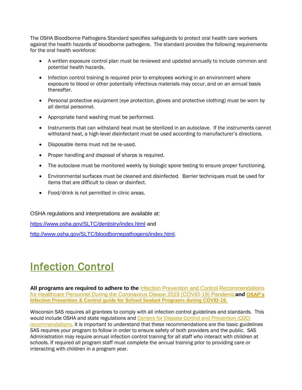The OSHA Bloodborne Pathogens Standard specifies safeguards to protect oral health care workers against the health hazards of bloodborne pathogens. The standard provides the following requirements for the oral health workforce:

- A written exposure control plan must be reviewed and updated annually to include common and potential health hazards.
- Infection control training is required prior to employees working in an environment where exposure to blood or other potentially infectious materials may occur, and on an annual basis thereafter.
- Personal protective equipment (eye protection, gloves and protective clothing) must be worn by all dental personnel.
- Appropriate hand washing must be performed.
- Instruments that can withstand heat must be sterilized in an autoclave. If the instruments cannot withstand heat, a high-level disinfectant must be used according to manufacturer's directions.
- Disposable items must not be re-used.
- Proper handling and disposal of sharps is required.
- The autoclave must be monitored weekly by biologic spore testing to ensure proper functioning.
- Environmental surfaces must be cleaned and disinfected. Barrier techniques must be used for items that are difficult to clean or disinfect.
- Food/drink is not permitted in clinic areas.

OSHA regulations and interpretations are available at:

<https://www.osha.gov/SLTC/dentistry/index.html> and

[http://www.osha.gov/SLTC/bloodbornepathogens/index.html.](http://www.osha.gov/SLTC/bloodbornepathogens/index.html)

# <span id="page-8-0"></span>Infection Control

**All programs are required to adhere to the** [Infection Prevention and Control Recommendations](https://www.cdc.gov/coronavirus/2019-ncov/hcp/infection-control-recommendations.html?CDC_AA_refVal=https%3A%2F%2Fwww.cdc.gov%2Fcoronavirus%2F2019-ncov%2Fhcp%2Fdental-settings.html)  [for Healthcare Personnel During the Coronavirus Diease 2019 \(COVID-19\) Pandemic](https://www.cdc.gov/coronavirus/2019-ncov/hcp/infection-control-recommendations.html?CDC_AA_refVal=https%3A%2F%2Fwww.cdc.gov%2Fcoronavirus%2F2019-ncov%2Fhcp%2Fdental-settings.html)**and [OSAP's](https://www.osap.org/page/ipc-guide-for-ssp-during-covid-19)  [Infection Prevention & Control guide for School Sealant Programs during COVID-19.](https://www.osap.org/page/ipc-guide-for-ssp-during-covid-19)**

Wisconsin SAS requires all grantees to comply with all infection control guidelines and standards. This would include OSHA and state regulations and [Centers for Disease Control and Prevention \(CDC\)](https://www.cdc.gov/oralhealth/infectioncontrol/guidelines/index.htm)  [recommendations.](https://www.cdc.gov/oralhealth/infectioncontrol/guidelines/index.htm) It is important to understand that these recommendations are the basic guidelines SAS requires your program to follow in order to ensure safety of both providers and the public. SAS Administration may require annual infection control training for all staff who interact with children at schools. If required all program staff must complete the annual training prior to providing care or interacting with children in a program year.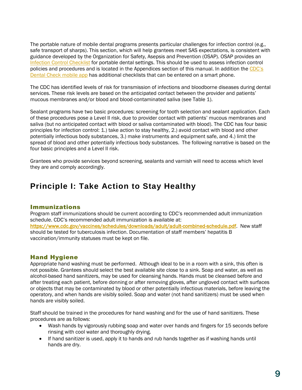The portable nature of mobile dental programs presents particular challenges for infection control (e.g., safe transport of sharps). This section, which will help grantees meet SAS expectations, is consistent with guidance developed by the Organization for Safety, Asepsis and Prevention (OSAP). OSAP provides an [Infection Control Checklist](http://c.ymcdn.com/sites/www.osap.org/resource/resmgr/Checklists/Final.checklist.pdf) for portable dental settings. This should be used to assess infection control policies and procedures and is located in the Appendices section of this manual. In addition the [CDC's](https://www.cdc.gov/oralhealth/infectioncontrol/dentalcheck.html)  [Dental Check mobile app](https://www.cdc.gov/oralhealth/infectioncontrol/dentalcheck.html) has additional checklists that can be entered on a smart phone.

The CDC has identified levels of risk for transmission of infections and bloodborne diseases during dental services. These risk levels are based on the anticipated contact between the provider and patients' mucous membranes and/or blood and blood-contaminated saliva (see Table 1).

Sealant programs have two basic procedures: screening for tooth selection and sealant application. Each of these procedures pose a Level II risk, due to provider contact with patients' mucous membranes and saliva (but no anticipated contact with blood or saliva contaminated with blood). The CDC has four basic principles for infection control: 1.) take action to stay healthy, 2.) avoid contact with blood and other potentially infectious body substances, 3.) make instruments and equipment safe, and 4.) limit the spread of blood and other potentially infectious body substances. The following narrative is based on the four basic principles and a Level II risk.

Grantees who provide services beyond screening, sealants and varnish will need to access which level they are and comply accordingly.

#### <span id="page-9-0"></span>**Principle I: Take Action to Stay Healthy**

#### Immunizations

Program staff immunizations should be current according to CDC's recommended adult immunization schedule. CDC's recommended adult immunization is available at: [https://www.cdc.gov/vaccines/schedules/downloads/adult/adult-combined-schedule.pdf.](https://www.cdc.gov/vaccines/schedules/downloads/adult/adult-combined-schedule.pdf) New staff should be tested for tuberculosis infection. Documentation of staff members' hepatitis B vaccination/immunity statuses must be kept on file.

#### Hand Hygiene

Appropriate hand washing must be performed. Although ideal to be in a room with a sink, this often is not possible. Grantees should select the best available site close to a sink. Soap and water, as well as alcohol-based hand sanitizers, may be used for cleansing hands. Hands must be cleansed before and after treating each patient, before donning or after removing gloves, after ungloved contact with surfaces or objects that may be contaminated by blood or other potentially infectious materials, before leaving the operatory, and when hands are visibly soiled. Soap and water (not hand sanitizers) must be used when hands are visibly soiled.

Staff should be trained in the procedures for hand washing and for the use of hand sanitizers. These procedures are as follows:

- Wash hands by vigorously rubbing soap and water over hands and fingers for 15 seconds before rinsing with cool water and thoroughly drying.
- If hand sanitizer is used, apply it to hands and rub hands together as if washing hands until hands are dry.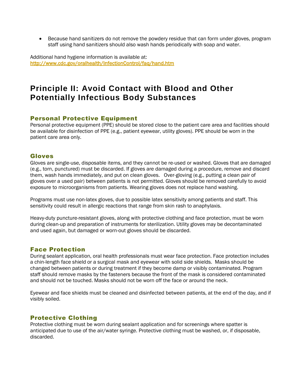Because hand sanitizers do not remove the powdery residue that can form under gloves, program staff using hand sanitizers should also wash hands periodically with soap and water.

Additional hand hygiene information is available at: <http://www.cdc.gov/oralhealth/InfectionControl/faq/hand.htm>

#### <span id="page-10-0"></span>**Principle II: Avoid Contact with Blood and Other Potentially Infectious Body Substances**

#### Personal Protective Equipment

Personal protective equipment (PPE) should be stored close to the patient care area and facilities should be available for disinfection of PPE (e.g., patient eyewear, utility gloves). PPE should be worn in the patient care area only.

#### Gloves

Gloves are single-use, disposable items, and they cannot be re-used or washed. Gloves that are damaged (e.g., torn, punctured) must be discarded. If gloves are damaged during a procedure, remove and discard them, wash hands immediately, and put on clean gloves. Over-gloving (e.g., putting a clean pair of gloves over a used pair) between patients is not permitted. Gloves should be removed carefully to avoid exposure to microorganisms from patients. Wearing gloves does not replace hand washing.

Programs must use non-latex gloves, due to possible latex sensitivity among patients and staff. This sensitivity could result in allergic reactions that range from skin rash to anaphylaxis.

Heavy-duty puncture-resistant gloves, along with protective clothing and face protection, must be worn during clean-up and preparation of instruments for sterilization. Utility gloves may be decontaminated and used again, but damaged or worn-out gloves should be discarded.

#### Face Protection

During sealant application, oral health professionals must wear face protection. Face protection includes a chin-length face shield or a surgical mask and eyewear with solid side shields. Masks should be changed between patients or during treatment if they become damp or visibly contaminated. Program staff should remove masks by the fasteners because the front of the mask is considered contaminated and should not be touched. Masks should not be worn off the face or around the neck.

Eyewear and face shields must be cleaned and disinfected between patients, at the end of the day, and if visibly soiled.

#### Protective Clothing

Protective clothing must be worn during sealant application and for screenings where spatter is anticipated due to use of the air/water syringe. Protective clothing must be washed, or, if disposable, discarded.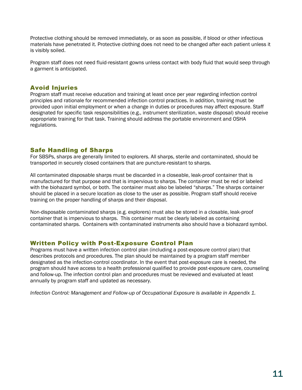Protective clothing should be removed immediately, or as soon as possible, if blood or other infectious materials have penetrated it. Protective clothing does not need to be changed after each patient unless it is visibly soiled.

Program staff does not need fluid-resistant gowns unless contact with body fluid that would seep through a garment is anticipated.

#### Avoid Injuries

Program staff must receive education and training at least once per year regarding infection control principles and rationale for recommended infection control practices. In addition, training must be provided upon initial employment or when a change in duties or procedures may affect exposure. Staff designated for specific task responsibilities (e.g., instrument sterilization, waste disposal) should receive appropriate training for that task. Training should address the portable environment and OSHA regulations.

#### Safe Handling of Sharps

For SBSPs, sharps are generally limited to explorers. All sharps, sterile and contaminated, should be transported in securely closed containers that are puncture-resistant to sharps.

All contaminated disposable sharps must be discarded in a closeable, leak-proof container that is manufactured for that purpose and that is impervious to sharps. The container must be red or labeled with the biohazard symbol, or both. The container must also be labeled "sharps." The sharps container should be placed in a secure location as close to the user as possible. Program staff should receive training on the proper handling of sharps and their disposal.

Non-disposable contaminated sharps (e.g. explorers) must also be stored in a closable, leak-proof container that is impervious to sharps. This container must be clearly labeled as containing contaminated sharps. Containers with contaminated instruments also should have a biohazard symbol.

#### Written Policy with Post-Exposure Control Plan

Programs must have a written infection control plan (including a post-exposure control plan) that describes protocols and procedures. The plan should be maintained by a program staff member designated as the infection-control coordinator. In the event that post-exposure care is needed, the program should have access to a health professional qualified to provide post-exposure care, counseling and follow-up. The infection control plan and procedures must be reviewed and evaluated at least annually by program staff and updated as necessary.

<span id="page-11-0"></span>*Infection Control: Management and Follow-up of Occupational Exposure is available in Appendix 1.*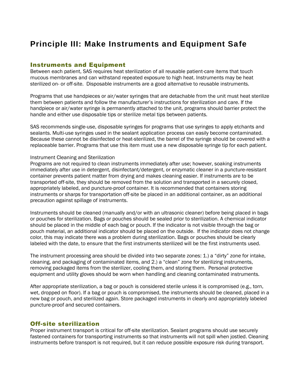#### **Principle III: Make Instruments and Equipment Safe**

#### Instruments and Equipment

Between each patient, SAS requires heat sterilization of all reusable patient-care items that touch mucous membranes and can withstand repeated exposure to high heat. Instruments may be heat sterilized on- or off-site. Disposable instruments are a good alternative to reusable instruments.

Programs that use handpieces or air/water syringes that are detachable from the unit must heat sterilize them between patients and follow the manufacturer's instructions for sterilization and care. If the handpiece or air/water syringe is permanently attached to the unit, programs should barrier protect the handle and either use disposable tips or sterilize metal tips between patients.

SAS recommends single-use, disposable syringes for programs that use syringes to apply etchants and sealants. Multi-use syringes used in the sealant application process can easily become contaminated. Because these cannot be disinfected or heat-sterilized, the barrel of the syringe should be covered with a replaceable barrier. Programs that use this item must use a new disposable syringe tip for each patient.

#### Instrument Cleaning and Sterilization

Programs are not required to clean instruments immediately after use; however, soaking instruments immediately after use in detergent, disinfectant/detergent, or enzymatic cleaner in a puncture-resistant container prevents patient matter from drying and makes cleaning easier. If instruments are to be transported off-site, they should be removed from the solution and transported in a securely closed, appropriately labeled, and puncture-proof container. It is recommended that containers storing instruments or sharps for transportation off-site be placed in an additional container, as an additional precaution against spillage of instruments.

Instruments should be cleaned (manually and/or with an ultrasonic cleaner) before being placed in bags or pouches for sterilization. Bags or pouches should be sealed prior to sterilization. A chemical indicator should be placed in the middle of each bag or pouch. If the indicator is not visible through the bag or pouch material, an additional indicator should be placed on the outside. If the indicator does not change color, this may indicate there was a problem during sterilization. Bags or pouches should be clearly labeled with the date, to ensure that the first instruments sterilized will be the first instruments used.

The instrument processing area should be divided into two separate zones: 1.) a "dirty" zone for intake, cleaning, and packaging of contaminated items, and 2.) a "clean" zone for sterilizing instruments, removing packaged items from the sterilizer, cooling them, and storing them. Personal protective equipment and utility gloves should be worn when handling and cleaning contaminated instruments.

After appropriate sterilization, a bag or pouch is considered sterile unless it is compromised (e.g., torn, wet, dropped on floor). If a bag or pouch is compromised, the instruments should be cleaned, placed in a new bag or pouch, and sterilized again. Store packaged instruments in clearly and appropriately labeled puncture-proof and secured containers.

#### Off-site sterilization

Proper instrument transport is critical for off-site sterilization. Sealant programs should use securely fastened containers for transporting instruments so that instruments will not spill when jostled. Cleaning instruments before transport is not required, but it can reduce possible exposure risk during transport.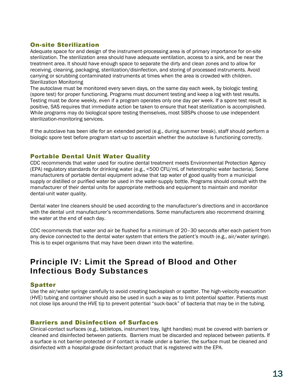#### On-site Sterilization

Adequate space for and design of the instrument-processing area is of primary importance for on-site sterilization. The sterilization area should have adequate ventilation, access to a sink, and be near the treatment area. It should have enough space to separate the dirty and clean zones and to allow for receiving, cleaning, packaging, sterilization/disinfection, and storing of processed instruments. Avoid carrying or scrubbing contaminated instruments at times when the area is crowded with children. Sterilization Monitoring

The autoclave must be monitored every seven days, on the same day each week, by biologic testing (spore test) for proper functioning. Programs must document testing and keep a log with test results. Testing must be done weekly, even if a program operates only one day per week. If a spore test result is positive, SAS requires that immediate action be taken to ensure that heat sterilization is accomplished. While programs may do biological spore testing themselves, most SBSPs choose to use independent sterilization-monitoring services.

If the autoclave has been idle for an extended period (e.g., during summer break), staff should perform a biologic spore test before program start-up to ascertain whether the autoclave is functioning correctly.

#### Portable Dental Unit Water Quality

CDC recommends that water used for routine dental treatment meets Environmental Protection Agency (EPA) regulatory standards for drinking water (e.g., <500 CFU/mL of heterotrophic water bacteria). Some manufacturers of portable dental equipment advise that tap water of good quality from a municipal supply or distilled or purified water be used in the water-supply bottle. Programs should consult with the manufacturer of their dental units for appropriate methods and equipment to maintain and monitor dental-unit water quality.

Dental water line cleaners should be used according to the manufacturer's directions and in accordance with the dental unit manufacturer's recommendations. Some manufacturers also recommend draining the water at the end of each day.

CDC recommends that water and air be flushed for a minimum of 20–30 seconds after each patient from any device connected to the dental water system that enters the patient's mouth (e.g., air/water syringe). This is to expel organisms that may have been drawn into the waterline.

#### <span id="page-13-0"></span>**Principle IV: Limit the Spread of Blood and Other Infectious Body Substances**

#### Spatter

Use the air/water syringe carefully to avoid creating backsplash or spatter. The high-velocity evacuation (HVE) tubing and container should also be used in such a way as to limit potential spatter. Patients must not close lips around the HVE tip to prevent potential "suck-back" of bacteria that may be in the tubing.

#### Barriers and Disinfection of Surfaces

Clinical-contact surfaces (e.g., tabletops, instrument tray, light handles) must be covered with barriers or cleaned and disinfected between patients. Barriers must be discarded and replaced between patients. If a surface is not barrier-protected or if contact is made under a barrier, the surface must be cleaned and disinfected with a hospital-grade disinfectant product that is registered with the EPA.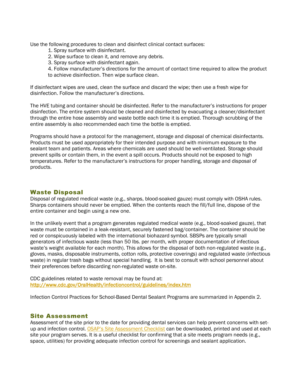Use the following procedures to clean and disinfect clinical contact surfaces:

- 1. Spray surface with disinfectant.
- 2. Wipe surface to clean it, and remove any debris.
- 3. Spray surface with disinfectant again.

4. Follow manufacturer's directions for the amount of contact time required to allow the product to achieve disinfection. Then wipe surface clean.

If disinfectant wipes are used, clean the surface and discard the wipe; then use a fresh wipe for disinfection. Follow the manufacturer's directions.

The HVE tubing and container should be disinfected. Refer to the manufacturer's instructions for proper disinfection. The entire system should be cleaned and disinfected by evacuating a cleaner/disinfectant through the entire hose assembly and waste bottle each time it is emptied. Thorough scrubbing of the entire assembly is also recommended each time the bottle is emptied.

Programs should have a protocol for the management, storage and disposal of chemical disinfectants. Products must be used appropriately for their intended purpose and with minimum exposure to the sealant team and patients. Areas where chemicals are used should be well-ventilated. Storage should prevent spills or contain them, in the event a spill occurs. Products should not be exposed to high temperatures. Refer to the manufacturer's instructions for proper handling, storage and disposal of products.

#### Waste Disposal

Disposal of regulated medical waste (e.g., sharps, blood-soaked gauze) must comply with OSHA rules. Sharps containers should never be emptied. When the contents reach the fill/full line, dispose of the entire container and begin using a new one.

In the unlikely event that a program generates regulated medical waste (e.g., blood-soaked gauze), that waste must be contained in a leak-resistant, securely fastened bag/container. The container should be red or conspicuously labeled with the international biohazard symbol. SBSPs are typically small generators of infectious waste (less than 50 lbs. per month, with proper documentation of infectious waste's weight available for each month). This allows for the disposal of both non-regulated waste (e.g., gloves, masks, disposable instruments, cotton rolls, protective coverings) and regulated waste (infectious waste) in regular trash bags without special handling. It is best to consult with school personnel about their preferences before discarding non-regulated waste on-site.

CDC guidelines related to waste removal may be found at: <http://www.cdc.gov/OralHealth/infectioncontrol/guidelines/index.htm>

Infection Control Practices for School-Based Dental Sealant Programs are summarized in Appendix 2.

#### Site Assessment

Assessment of the site prior to the date for providing dental services can help prevent concerns with set-up and infection control. [OSAP's Site Assessment Checklist](http://c.ymcdn.com/sites/www.osap.org/resource/resmgr/Checklists/new.OSAP.site.assessment.pdf) can be downloaded, printed and used at each site your program serves. It is a useful checklist for confirming that a site meets program needs (e.g., space, utilities) for providing adequate infection control for screenings and sealant application.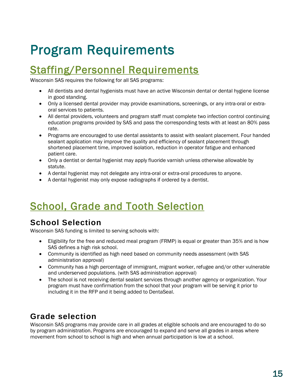# <span id="page-15-0"></span>Program Requirements

# <span id="page-15-1"></span>Staffing/Personnel Requirements

Wisconsin SAS requires the following for all SAS programs:

- All dentists and dental hygienists must have an active Wisconsin dental or dental hygiene license in good standing.
- Only a licensed dental provider may provide examinations, screenings, or any intra-oral or extraoral services to patients.
- All dental providers, volunteers and program staff must complete two infection control continuing education programs provided by SAS and pass the corresponding tests with at least an 80% pass rate.
- Programs are encouraged to use dental assistants to assist with sealant placement. Four handed sealant application may improve the quality and efficiency of sealant placement through shortened placement time, improved isolation, reduction in operator fatigue and enhanced patient care.
- Only a dentist or dental hygienist may apply fluoride varnish unless otherwise allowable by statute.
- A dental hygienist may not delegate any intra-oral or extra-oral procedures to anyone.
- A dental hygienist may only expose radiographs if ordered by a dentist.

# <span id="page-15-2"></span>School, Grade and Tooth Selection

### <span id="page-15-3"></span>**School Selection**

Wisconsin SAS funding is limited to serving schools with:

- Eligibility for the free and reduced meal program (FRMP) is equal or greater than 35% and is how SAS defines a high risk school.
- Community is identified as high need based on community needs assessment (with SAS administration approval)
- Community has a high percentage of immigrant, migrant worker, refugee and/or other vulnerable and underserved populations. (with SAS administration approval)
- The school is not receiving dental sealant services through another agency or organization. Your program must have confirmation from the school that your program will be serving it prior to including it in the RFP and it being added to DentaSeal.

### <span id="page-15-4"></span>**Grade selection**

Wisconsin SAS programs may provide care in all grades at eligible schools and are encouraged to do so by program administration. Programs are encouraged to expand and serve all grades in areas where movement from school to school is high and when annual participation is low at a school.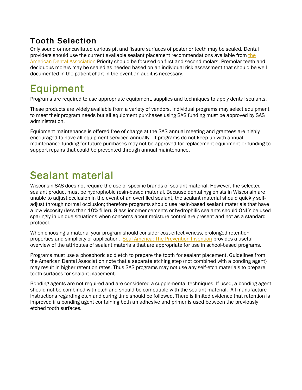### <span id="page-16-0"></span>**Tooth Selection**

Only sound or noncavitated carious pit and fissure surfaces of posterior teeth may be sealed. Dental providers should use [the](https://ebd.ada.org/en/evidence/guidelines/pit-and-fissure-sealants) current available sealant placement recommendations available from the [American Dental Association](https://ebd.ada.org/en/evidence/guidelines/pit-and-fissure-sealants) Priority should be focused on first and second molars. Premolar teeth and deciduous molars may be sealed as needed based on an individual risk assessment that should be well documented in the patient chart in the event an audit is necessary.

# <span id="page-16-1"></span>Equipment

Programs are required to use appropriate equipment, supplies and techniques to apply dental sealants.

These products are widely available from a variety of vendors. Individual programs may select equipment to meet their program needs but all equipment purchases using SAS funding must be approved by SAS administration.

Equipment maintenance is offered free of charge at the SAS annual meeting and grantees are highly encouraged to have all equipment serviced annually. If programs do not keep up with annual maintenance funding for future purchases may not be approved for replacement equipment or funding to support repairs that could be prevented through annual maintenance.

# <span id="page-16-2"></span>Sealant material

Wisconsin SAS does not require the use of specific brands of sealant material. However, the selected sealant product must be hydrophobic resin-based material. Because dental hygienists in Wisconsin are unable to adjust occlusion in the event of an overfilled sealant, the sealant material should quickly selfadjust through normal occlusion; therefore programs should use resin-based sealant materials that have a low viscosity (less than 10% filler). Glass ionomer cements or hydrophilic sealants should ONLY be used sparingly in unique situations when concerns about moisture control are present and not as a standard protocol.

When choosing a material your program should consider cost-effectiveness, prolonged retention properties and simplicity of application. [Seal America: The Prevention Invention](https://www.mchoralhealth.org/seal/step-4-5.php) provides a useful overview of the attributes of sealant materials that are appropriate for use in school-based programs.

Programs must use a phosphoric acid etch to prepare the tooth for sealant placement. Guidelines from the American Dental Association note that a separate etching step (not combined with a bonding agent) may result in higher retention rates. Thus SAS programs may not use any self-etch materials to prepare tooth surfaces for sealant placement.

Bonding agents are not required and are considered a supplemental techniques. If used, a bonding agent should not be combined with etch and should be compatible with the sealant material. All manufacture instructions regarding etch and curing time should be followed. There is limited evidence that retention is improved if a bonding agent containing both an adhesive and primer is used between the previously etched tooth surfaces.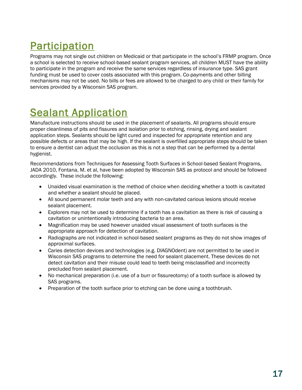# <span id="page-17-0"></span>Participation

Programs may not single out children on Medicaid or that participate in the school's FRMP program. Once a school is selected to receive school-based sealant program services, all children MUST have the ability to participate in the program and receive the same services regardless of insurance type. SAS grant funding must be used to cover costs associated with this program. Co-payments and other billing mechanisms may not be used. No bills or fees are allowed to be charged to any child or their family for services provided by a Wisconsin SAS program.

# <span id="page-17-1"></span>Sealant Application

Manufacture instructions should be used in the placement of sealants. All programs should ensure proper cleanliness of pits and fissures and isolation prior to etching, rinsing, drying and sealant application steps. Sealants should be light cured and inspected for appropriate retention and any possible defects or areas that may be high. If the sealant is overfilled appropriate steps should be taken to ensure a dentist can adjust the occlusion as this is not a step that can be performed by a dental hygienist.

Recommendations from Techniques for Assessing Tooth Surfaces in School-based Sealant Programs, JADA 2010, Fontana, M. et al, have been adopted by Wisconsin SAS as protocol and should be followed accordingly. These include the following:

- Unaided visual examination is the method of choice when deciding whether a tooth is cavitated and whether a sealant should be placed.
- All sound permanent molar teeth and any with non-cavitated carious lesions should receive sealant placement.
- Explorers may not be used to determine if a tooth has a cavitation as there is risk of causing a cavitation or unintentionally introducing bacteria to an area.
- Magnification may be used however unaided visual assessment of tooth surfaces is the appropriate approach for detection of cavitation.
- Radiographs are not indicated in school-based sealant programs as they do not show images of approximal surfaces.
- Caries detection devices and technologies (e.g. DIAGNOdent) are not permitted to be used in Wisconsin SAS programs to determine the need for sealant placement. These devices do not detect cavitation and their misuse could lead to teeth being misclassified and incorrectly precluded from sealant placement.
- No mechanical preparation (i.e. use of a burr or fissureotomy) of a tooth surface is allowed by SAS programs.
- Preparation of the tooth surface prior to etching can be done using a toothbrush.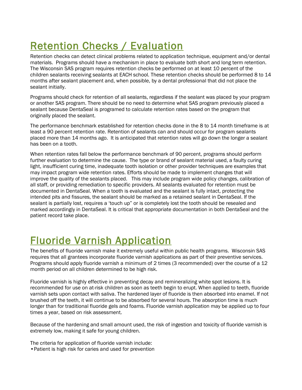# <span id="page-18-0"></span>Retention Checks / Evaluation

Retention checks can detect clinical problems related to application technique, equipment and/or dental materials. Programs should have a mechanism in place to evaluate both short and long term retention. The Wisconsin SAS program requires retention checks be performed on at least 10 percent of the children sealants receiving sealants at EACH school. These retention checks should be performed 8 to 14 months after sealant placement and, when possible, by a dental professional that did not place the sealant initially.

Programs should check for retention of all sealants, regardless if the sealant was placed by your program or another SAS program. There should be no need to determine what SAS program previously placed a sealant because DentaSeal is programed to calculate retention rates based on the program that originally placed the sealant.

The performance benchmark established for retention checks done in the 8 to 14 month timeframe is at least a 90 percent retention rate. Retention of sealants can and should occur for program sealants placed more than 14 months ago. It is anticipated that retention rates will go down the longer a sealant has been on a tooth.

When retention rates fall below the performance benchmark of 90 percent, programs should perform further evaluation to determine the cause. The type or brand of sealant material used, a faulty curing light, insufficient curing time, inadequate tooth isolation or other provider techniques are examples that may impact program wide retention rates. Efforts should be made to implement changes that will improve the quality of the sealants placed. This may include program wide policy changes, calibration of all staff, or providing remediation to specific providers. All sealants evaluated for retention must be documented in DentaSeal. When a tooth is evaluated and the sealant is fully intact, protecting the intended pits and fissures, the sealant should be marked as a retained sealant in DentaSeal. If the sealant is partially lost, requires a 'touch up" or is completely lost the tooth should be resealed and marked accordingly in DentaSeal. It is critical that appropriate documentation in both DentaSeal and the patient record take place.

# <span id="page-18-1"></span>Fluoride Varnish Application

The benefits of fluoride varnish make it extremely useful within public health programs. Wisconsin SAS requires that all grantees incorporate fluoride varnish applications as part of their preventive services. Programs should apply fluoride varnish a minimum of 2 times (3 recommended) over the course of a 12 month period on all children determined to be high risk.

Fluoride varnish is highly effective in preventing decay and remineralizing white spot lesions. It is recommended for use on at-risk children as soon as teeth begin to erupt. When applied to teeth, fluoride varnish sets upon contact with saliva. The hardened layer of fluoride is then absorbed into enamel. If not brushed off the teeth, it will continue to be absorbed for several hours. The absorption time is much longer than for traditional fluoride gels and foams. Fluoride varnish application may be applied up to four times a year, based on risk assessment.

Because of the hardening and small amount used, the risk of ingestion and toxicity of fluoride varnish is extremely low, making it safe for young children.

The criteria for application of fluoride varnish include: •Patient is high risk for caries and used for prevention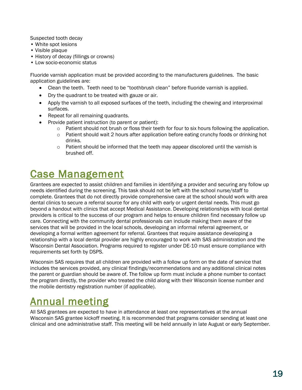Suspected tooth decay

- White spot lesions
- Visible plaque
- History of decay (fillings or crowns)
- Low socio-economic status

Fluoride varnish application must be provided according to the manufacturers guidelines. The basic application guidelines are:

- Clean the teeth. Teeth need to be "toothbrush clean" before fluoride varnish is applied.
- Dry the quadrant to be treated with gauze or air.
- Apply the varnish to all exposed surfaces of the teeth, including the chewing and interproximal surfaces.
- Repeat for all remaining quadrants.
- Provide patient instruction (to parent or patient):
	- $\circ$  Patient should not brush or floss their teeth for four to six hours following the application.
	- $\circ$  Patient should wait 2 hours after application before eating crunchy foods or drinking hot drinks.
	- $\circ$  Patient should be informed that the teeth may appear discolored until the varnish is brushed off.

# <span id="page-19-0"></span>Case Management

Grantees are expected to assist children and families in identifying a provider and securing any follow up needs identified during the screening. This task should not be left with the school nurse/staff to complete. Grantees that do not directly provide comprehensive care at the school should work with area dental clinics to secure a referral source for any child with early or urgent dental needs. This must go beyond a handout with clinics that accept Medical Assistance. Developing relationships with local dental providers is critical to the success of our program and helps to ensure children find necessary follow up care. Connecting with the community dental professionals can include making them aware of the services that will be provided in the local schools, developing an informal referral agreement, or developing a formal written agreement for referral. Grantees that require assistance developing a relationship with a local dental provider are highly encouraged to work with SAS administration and the Wisconsin Dental Association. Programs required to register under DE-10 must ensure compliance with requirements set forth by DSPS.

Wisconsin SAS requires that all children are provided with a follow up form on the date of service that includes the services provided, any clinical findings/recommendations and any additional clinical notes the parent or guardian should be aware of. The follow up form must include a phone number to contact the program directly, the provider who treated the child along with their Wisconsin license number and the mobile dentistry registration number (if applicable).

### <span id="page-19-1"></span>Annual meeting

All SAS grantees are expected to have in attendance at least one representatives at the annual Wisconsin SAS grantee kickoff meeting. It is recommended that programs consider sending at least one clinical and one administrative staff. This meeting will be held annually in late August or early September.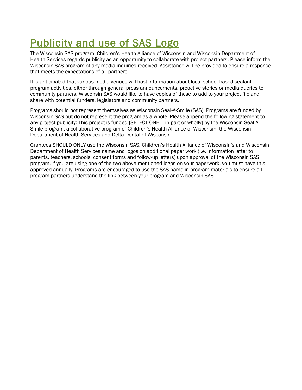# <span id="page-20-0"></span>Publicity and use of SAS Logo

The Wisconsin SAS program, Children's Health Alliance of Wisconsin and Wisconsin Department of Health Services regards publicity as an opportunity to collaborate with project partners. Please inform the Wisconsin SAS program of any media inquiries received. Assistance will be provided to ensure a response that meets the expectations of all partners.

It is anticipated that various media venues will host information about local school-based sealant program activities, either through general press announcements, proactive stories or media queries to community partners. Wisconsin SAS would like to have copies of these to add to your project file and share with potential funders, legislators and community partners.

Programs should not represent themselves as Wisconsin Seal-A-Smile (SAS). Programs are funded by Wisconsin SAS but do not represent the program as a whole. Please append the following statement to any project publicity: This project is funded [SELECT ONE – in part or wholly] by the Wisconsin Seal-A-Smile program, a collaborative program of Children's Health Alliance of Wisconsin, the Wisconsin Department of Health Services and Delta Dental of Wisconsin.

Grantees SHOULD ONLY use the Wisconsin SAS, Children's Health Alliance of Wisconsin's and Wisconsin Department of Health Services name and logos on additional paper work (i.e. information letter to parents, teachers, schools; consent forms and follow-up letters) upon approval of the Wisconsin SAS program. If you are using one of the two above mentioned logos on your paperwork, you must have this approved annually. Programs are encouraged to use the SAS name in program materials to ensure all program partners understand the link between your program and Wisconsin SAS.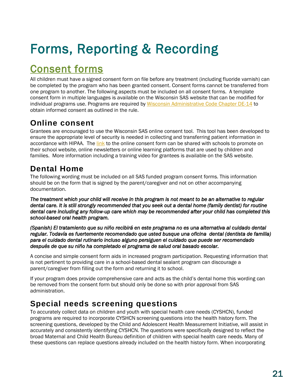# <span id="page-21-0"></span>Forms, Reporting & Recording

# <span id="page-21-1"></span>Consent forms

All children must have a signed consent form on file before any treatment (including fluoride varnish) can be completed by the program who has been granted consent. Consent forms cannot be transferred from one program to another. The following aspects must be included on all consent forms. A template consent form in multiple languages is available on the Wisconsin SAS website that can be modified for individual programs use. Programs are required by [Wisconsin Administrative Code Chapter DE-14](https://docs.legis.wisconsin.gov/code/admin_code/de/14) to obtain informed consent as outlined in the rule.

#### <span id="page-21-2"></span>**Online consent**

Grantees are encouraged to use the Wisconsin SAS online consent tool. This tool has been developed to ensure the appropriate level of security is needed in collecting and transferring patient information in accordance with HIPAA. Th[e link](https://sealasmile.wisconsin.gov/Consent/Home/About) to the online consent form can be shared with schools to promote on their school website, online newsletters or online learning platforms that are used by children and families. More information including a training video for grantees is available on the SAS website.

### <span id="page-21-3"></span>**Dental Home**

The following wording must be included on all SAS funded program consent forms. This information should be on the form that is signed by the parent/caregiver and not on other accompanying documentation.

*The treatment which your child will receive in this program is not meant to be an alternative to regular dental care. It is still strongly recommended that you seek out a dental home (family dentist) for routine dental care including any follow-up care which may be recommended after your child has completed this school-based oral health program.* 

*(Spanish) El tratamiento que su niño recibirá en este programa no es una alternativa al cuidado dental regular. Todavía es fuertemente recomendado que usted busque una oficina dental (dentista de familia) para el cuidado dental rutinario incluso alguno persiguen el cuidado que puede ser recomendado después de que su niño ha completado el programa de salud oral basado escolar.* 

A concise and simple consent form aids in increased program participation. Requesting information that is not pertinent to providing care in a school-based dental sealant program can discourage a parent/caregiver from filling out the form and returning it to school.

If your program does provide comprehensive care and acts as the child's dental home this wording can be removed from the consent form but should only be done so with prior approval from SAS administration.

### <span id="page-21-4"></span>**Special needs screening questions**

To accurately collect data on children and youth with special health care needs (CYSHCN), funded programs are required to incorporate CYSHCN screening questions into the health history form. The screening questions, developed by the Child and Adolescent Health Measurement Initiative, will assist in accurately and consistently identifying CYSHCN. The questions were specifically designed to reflect the broad Maternal and Child Health Bureau definition of children with special health care needs. Many of these questions can replace questions already included on the health history form. When incorporating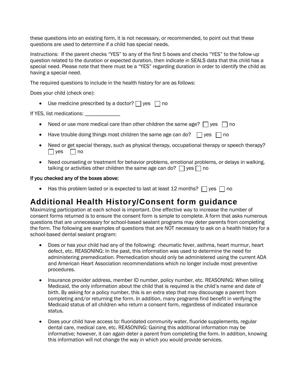these questions into an existing form, it is not necessary, or recommended, to point out that these questions are used to determine if a child has special needs.

Instructions: If the parent checks "YES" to any of the first 5 boxes and checks "YES" to the follow-up question related to the duration or expected duration, then indicate in SEALS data that this child has a special need. Please note that there must be a "YES" regarding duration in order to identify the child as having a special need.

The required questions to include in the health history for are as follows:

Does your child (check one):

• Use medicine prescribed by a doctor?  $\Box$  yes  $\Box$  no

If YES, list medications:

- Need or use more medical care than other children the same age?  $\Box$  yes  $\Box$  no
- Have trouble doing things most children the same age can do?  $\Box$  yes  $\Box$  no
- Need or get special therapy, such as physical therapy, occupational therapy or speech therapy?  $\Box$  yes  $\Box$  no
- Need counseling or treatment for behavior problems, emotional problems, or delays in walking, talking or activities other children the same age can do?  $\Box$  yes  $\Box$  no

#### If you checked any of the boxes above:

Has this problem lasted or is expected to last at least 12 months?  $\Box$  yes  $\Box$  no

#### <span id="page-22-0"></span>**Additional Health History/Consent form guidance**

Maximizing participation at each school is important. One effective way to increase the number of consent forms returned is to ensure the consent form is simple to complete. A form that asks numerous questions that are unnecessary for school-based sealant programs may deter parents from completing the form. The following are examples of questions that are NOT necessary to ask on a health history for a school-based dental sealant program:

- Does or has your child had any of the following: rheumatic fever, asthma, heart murmur, heart defect, etc. REASONING: In the past, this information was used to determine the need for administering premedication. Premedication should only be administered using the current ADA and American Heart Association recommendations which no longer include most preventive procedures.
- Insurance provider address, member ID number, policy number, etc. REASONING: When billing Medicaid, the only information about the child that is required is the child's name and date of birth. By asking for a policy number, this is an extra step that may discourage a parent from completing and/or returning the form. In addition, many programs find benefit in verifying the Medicaid status of all children who return a consent form, regardless of indicated insurance status.
- Does your child have access to: fluoridated community water, fluoride supplements, regular dental care, medical care, etc. REASONING: Gaining this additional information may be informative; however, it can again deter a parent from completing the form. In addition, knowing this information will not change the way in which you would provide services.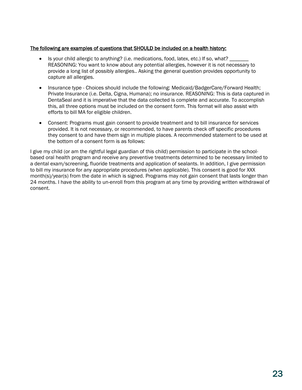#### The following are examples of questions that SHOULD be included on a health history:

- Is your child allergic to anything? (i.e. medications, food, latex, etc.) If so, what? \_\_\_\_\_\_\_ REASONING: You want to know about any potential allergies, however it is not necessary to provide a long list of possibly allergies.. Asking the general question provides opportunity to capture all allergies.
- Insurance type Choices should include the following: Medicaid/BadgerCare/Forward Health; Private Insurance (i.e. Delta, Cigna, Humana); no insurance. REASONING: This is data captured in DentaSeal and it is imperative that the data collected is complete and accurate. To accomplish this, all three options must be included on the consent form. This format will also assist with efforts to bill MA for eligible children.
- Consent: Programs must gain consent to provide treatment and to bill insurance for services provided. It is not necessary, or recommended, to have parents check off specific procedures they consent to and have them sign in multiple places. A recommended statement to be used at the bottom of a consent form is as follows:

<span id="page-23-0"></span>I give my child (or am the rightful legal guardian of this child) permission to participate in the schoolbased oral health program and receive any preventive treatments determined to be necessary limited to a dental exam/screening, fluoride treatments and application of sealants. In addition, I give permission to bill my insurance for any appropriate procedures (when applicable). This consent is good for XXX month(s)/year(s) from the date in which is signed. Programs may not gain consent that lasts longer than 24 months. I have the ability to un-enroll from this program at any time by providing written withdrawal of consent.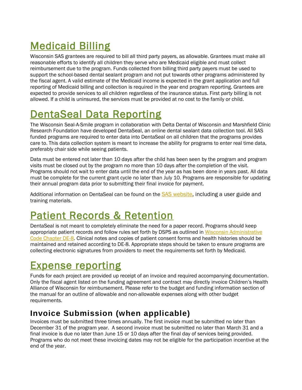# Medicaid Billing

Wisconsin SAS grantees are required to bill all third party payers, as allowable. Grantees must make all reasonable efforts to identify all children they serve who are Medicaid eligible and must collect reimbursement due to the program. Funds collected from billing third party payers must be used to support the school-based dental sealant program and not put towards other programs administered by the fiscal agent. A valid estimate of the Medicaid income is expected in the grant application and full reporting of Medicaid billing and collection is required in the year end program reporting. Grantees are expected to provide services to all children regardless of the insurance status. First party billing is not allowed. If a child is uninsured, the services must be provided at no cost to the family or child.

# <span id="page-24-0"></span>DentaSeal Data Reporting

The Wisconsin Seal-A-Smile program in collaboration with Delta Dental of Wisconsin and Marshfield Clinic Research Foundation have developed DentaSeal, an online dental sealant data collection tool. All SAS funded programs are required to enter data into DentaSeal on all children that the programs provides care to. This data collection system is meant to increase the ability for programs to enter real time data, preferably chair side while seeing patients.

Data must be entered not later than 10 days after the child has been seen by the program and program visits must be closed out by the program no more than 10 days after the completion of the visit. Programs should not wait to enter data until the end of the year as has been done in years past. All data must be complete for the current grant cycle no later than July 10. Programs are responsible for updating their annual program data prior to submitting their final invoice for payment.

Additional information on DentaSeal can be found on the **SAS website**, including a user guide and training materials.

# <span id="page-24-1"></span>Patient Records & Retention

DentaSeal is not meant to completely eliminate the need for a paper record. Programs should keep appropriate patient records and follow rules set forth by DSPS as outlined in [Wisconsin Administrative](https://docs.legis.wisconsin.gov/code/admin_code/de/8)  [Code Chapter DE-8.](https://docs.legis.wisconsin.gov/code/admin_code/de/8) Clinical notes and copies of patient consent forms and health histories should be maintained and retained according to DE-8. Appropriate steps should be taken to ensure programs are collecting electronic signatures from providers to meet the requirements set forth by Medicaid.

# <span id="page-24-2"></span>Expense reporting

Funds for each project are provided up receipt of an invoice and required accompanying documentation. Only the fiscal agent listed on the funding agreement and contract may directly invoice Children's Health Alliance of Wisconsin for reimbursement. Please refer to the budget and funding information section of the manual for an outline of allowable and non-allowable expenses along with other budget requirements.

### <span id="page-24-3"></span>**Invoice Submission (when applicable)**

Invoices must be submitted three times annually. The first invoice must be submitted no later than December 31 of the program year. A second invoice must be submitted no later than March 31 and a final invoice is due no later than June 15 or 10 days after the final day of services being provided. Programs who do not meet these invoicing dates may not be eligible for the participation incentive at the end of the year.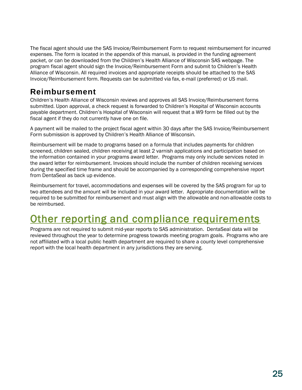The fiscal agent should use the SAS Invoice/Reimbursement Form to request reimbursement for incurred expenses. The form is located in the appendix of this manual, is provided in the funding agreement packet, or can be downloaded from the Children's Health Alliance of Wisconsin SAS webpage. The program fiscal agent should sign the Invoice/Reimbursement Form and submit to Children's Health Alliance of Wisconsin. All required invoices and appropriate receipts should be attached to the SAS Invoice/Reimbursement form. Requests can be submitted via fax, e-mail (preferred) or US mail.

#### <span id="page-25-0"></span>**Reimbursement**

Children's Health Alliance of Wisconsin reviews and approves all SAS Invoice/Reimbursement forms submitted. Upon approval, a check request is forwarded to Children's Hospital of Wisconsin accounts payable department. Children's Hospital of Wisconsin will request that a W9 form be filled out by the fiscal agent if they do not currently have one on file.

A payment will be mailed to the project fiscal agent within 30 days after the SAS Invoice/Reimbursement Form submission is approved by Children's Health Alliance of Wisconsin.

Reimbursement will be made to programs based on a formula that includes payments for children screened, children sealed, children receiving at least 2 varnish applications and participation based on the information contained in your programs award letter. Programs may only include services noted in the award letter for reimbursement. Invoices should include the number of children receiving services during the specified time frame and should be accompanied by a corresponding comprehensive report from DentaSeal as back up evidence.

Reimbursement for travel, accommodations and expenses will be covered by the SAS program for up to two attendees and the amount will be included in your award letter. Appropriate documentation will be required to be submitted for reimbursement and must align with the allowable and non-allowable costs to be reimbursed.

### <span id="page-25-1"></span>Other reporting and compliance requirements

<span id="page-25-2"></span>Programs are not required to submit mid-year reports to SAS administration. DentaSeal data will be reviewed throughout the year to determine progress towards meeting program goals. Programs who are not affiliated with a local public health department are required to share a county level comprehensive report with the local health department in any jurisdictions they are serving.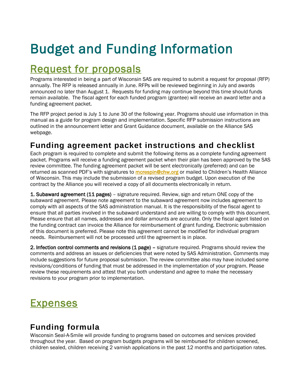# Budget and Funding Information

# <span id="page-26-0"></span>Request for proposals

Programs interested in being a part of Wisconsin SAS are required to submit a request for proposal (RFP) annually. The RFP is released annually in June. RFPs will be reviewed beginning in July and awards announced no later than August 1. Requests for funding may continue beyond this time should funds remain available. The fiscal agent for each funded program (grantee) will receive an award letter and a funding agreement packet.

The RFP project period is July 1 to June 30 of the following year. Programs should use information in this manual as a guide for program design and implementation. Specific RFP submission instructions are outlined in the announcement letter and Grant Guidance document, available on the Alliance SAS webpage.

#### <span id="page-26-1"></span>**Funding agreement packet instructions and checklist**

Each program is required to complete and submit the following items as a complete funding agreement packet. Programs will receive a funding agreement packet when their plan has been approved by the SAS review committee. The funding agreement packet will be sent electronically (preferred) and can be returned as scanned PDF's with signatures to **[mcrespin@chw.org](mailto:mcrespin@chw.org)** or mailed to Children's Health Alliance of Wisconsin. This may include the submission of a revised program budget. Upon execution of the contract by the Alliance you will received a copy of all documents electronically in return.

**1. Subaward agreement (11 pages)** – signature required. Review, sign and return ONE copy of the subaward agreement. Please note agreement to the subaward agreement now includes agreement to comply with all aspects of the SAS administration manual. It is the responsibility of the fiscal agent to ensure that all parties involved in the subaward understand and are willing to comply with this document. Please ensure that all names, addresses and dollar amounts are accurate. Only the fiscal agent listed on the funding contract can invoice the Alliance for reimbursement of grant funding. Electronic submission of this document is preferred. Please note this agreement cannot be modified for individual program needs. Reimbursement will not be processed until the agreement is in place.

2. Infection control comments and revisions (1 page) – signature required. Programs should review the comments and address an issues or deficiencies that were noted by SAS Administration. Comments may include suggestions for future proposal submission. The review committee also may have included some revisions/conditions of funding that must be addressed in the implementation of your program. Please review these requirements and attest that you both understand and agree to make the necessary revisions to your program prior to implementation.

### <span id="page-26-2"></span>**Expenses**

### <span id="page-26-3"></span>**Funding formula**

Wisconsin Seal-A-Smile will provide funding to programs based on outcomes and services provided throughout the year. Based on program budgets programs will be reimbursed for children screened, children sealed, children receiving 2 varnish applications in the past 12 months and participation rates.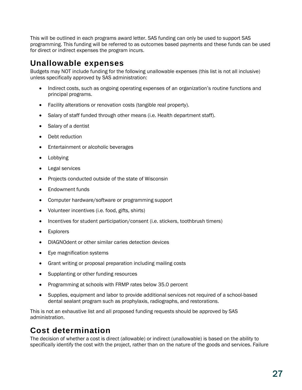This will be outlined in each programs award letter. SAS funding can only be used to support SAS programming. This funding will be referred to as outcomes based payments and these funds can be used for direct or indirect expenses the program incurs.

#### <span id="page-27-0"></span>**Unallowable expenses**

Budgets may NOT include funding for the following unallowable expenses (this list is not all inclusive) unless specifically approved by SAS administration:

- Indirect costs, such as ongoing operating expenses of an organization's routine functions and principal programs.
- Facility alterations or renovation costs (tangible real property).
- Salary of staff funded through other means (i.e. Health department staff).
- Salary of a dentist
- Debt reduction
- **Entertainment or alcoholic beverages**
- Lobbying
- Legal services
- Projects conducted outside of the state of Wisconsin
- Endowment funds
- Computer hardware/software or programming support
- Volunteer incentives (i.e. food, gifts, shirts)
- Incentives for student participation/consent (i.e. stickers, toothbrush timers)
- Explorers
- DIAGNOdent or other similar caries detection devices
- Eye magnification systems
- Grant writing or proposal preparation including mailing costs
- Supplanting or other funding resources
- Programming at schools with FRMP rates below 35.0 percent
- Supplies, equipment and labor to provide additional services not required of a school-based dental sealant program such as prophylaxis, radiographs, and restorations.

This is not an exhaustive list and all proposed funding requests should be approved by SAS administration.

### <span id="page-27-1"></span>**Cost determination**

The decision of whether a cost is direct (allowable) or indirect (unallowable) is based on the ability to specifically identify the cost with the project, rather than on the nature of the goods and services. Failure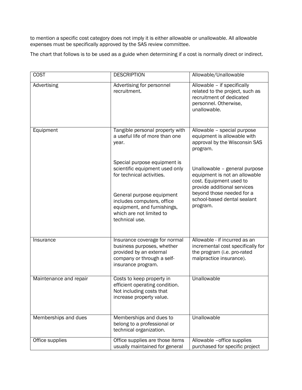to mention a specific cost category does not imply it is either allowable or unallowable. All allowable expenses must be specifically approved by the SAS review committee.

The chart that follows is to be used as a guide when determining if a cost is normally direct or indirect.

| <b>COST</b>            | <b>DESCRIPTION</b>                                                                                                                         | Allowable/Unallowable                                                                                                               |
|------------------------|--------------------------------------------------------------------------------------------------------------------------------------------|-------------------------------------------------------------------------------------------------------------------------------------|
| Advertising            | Advertising for personnel<br>recruitment.                                                                                                  | Allowable - if specifically<br>related to the project, such as<br>recruitment of dedicated<br>personnel. Otherwise,<br>unallowable. |
| Equipment              | Tangible personal property with<br>a useful life of more than one<br>year.                                                                 | Allowable - special purpose<br>equipment is allowable with<br>approval by the Wisconsin SAS<br>program.                             |
|                        | Special purpose equipment is<br>scientific equipment used only<br>for technical activities.                                                | Unallowable - general purpose<br>equipment is not an allowable<br>cost. Equipment used to<br>provide additional services            |
|                        | General purpose equipment<br>includes computers, office<br>equipment, and furnishings,<br>which are not limited to<br>technical use.       | beyond those needed for a<br>school-based dental sealant<br>program.                                                                |
| Insurance              | Insurance coverage for normal<br>business purposes, whether<br>provided by an external<br>company or through a self-<br>insurance program. | Allowable - if incurred as an<br>incremental cost specifically for<br>the program (i.e. pro-rated<br>malpractice insurance).        |
| Maintenance and repair | Costs to keep property in<br>efficient operating condition.<br>Not including costs that<br>increase property value.                        | Unallowable                                                                                                                         |
| Memberships and dues   | Memberships and dues to<br>belong to a professional or<br>technical organization.                                                          | Unallowable                                                                                                                         |
| Office supplies        | Office supplies are those items<br>usually maintained for general                                                                          | Allowable -office supplies<br>purchased for specific project                                                                        |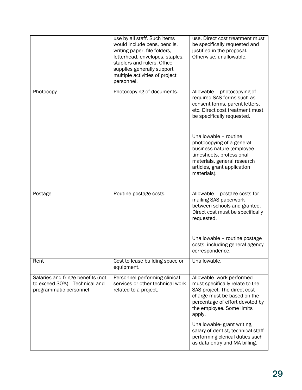|                                                                                              | use by all staff. Such items<br>would include pens, pencils,<br>writing paper, file folders,<br>letterhead, envelopes, staples,<br>staplers and rulers. Office<br>supplies generally support<br>multiple activities of project<br>personnel. | use. Direct cost treatment must<br>be specifically requested and<br>justified in the proposal.<br>Otherwise, unallowable.                                                                                                                                                 |
|----------------------------------------------------------------------------------------------|----------------------------------------------------------------------------------------------------------------------------------------------------------------------------------------------------------------------------------------------|---------------------------------------------------------------------------------------------------------------------------------------------------------------------------------------------------------------------------------------------------------------------------|
| Photocopy                                                                                    | Photocopying of documents.                                                                                                                                                                                                                   | Allowable - photocopying of<br>required SAS forms such as<br>consent forms, parent letters,<br>etc. Direct cost treatment must<br>be specifically requested.                                                                                                              |
|                                                                                              |                                                                                                                                                                                                                                              | Unallowable - routine<br>photocopying of a general<br>business nature (employee<br>timesheets, professional<br>materials, general research<br>articles, grant application<br>materials).                                                                                  |
| Postage                                                                                      | Routine postage costs.                                                                                                                                                                                                                       | Allowable - postage costs for<br>mailing SAS paperwork<br>between schools and grantee.<br>Direct cost must be specifically<br>requested.                                                                                                                                  |
|                                                                                              |                                                                                                                                                                                                                                              | Unallowable - routine postage<br>costs, including general agency<br>correspondence.                                                                                                                                                                                       |
| Rent                                                                                         | Cost to lease building space or<br>equipment.                                                                                                                                                                                                | Unallowable.                                                                                                                                                                                                                                                              |
| Salaries and fringe benefits (not<br>to exceed 30%)- Technical and<br>programmatic personnel | Personnel performing clinical<br>services or other technical work<br>related to a project.                                                                                                                                                   | Allowable- work performed<br>must specifically relate to the<br>SAS project. The direct cost<br>charge must be based on the<br>percentage of effort devoted by<br>the employee. Some limits<br>apply.<br>Unallowable-grant writing,<br>salary of dentist, technical staff |
|                                                                                              |                                                                                                                                                                                                                                              | performing clerical duties such<br>as data entry and MA billing.                                                                                                                                                                                                          |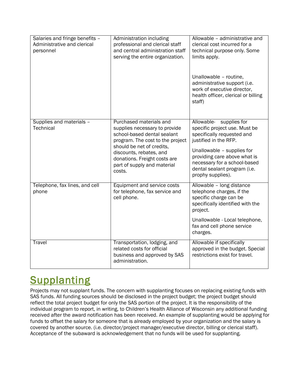| Salaries and fringe benefits -<br>Administrative and clerical<br>personnel | Administration including<br>professional and clerical staff<br>and central administration staff<br>serving the entire organization.                                                                                                                          | Allowable - administrative and<br>clerical cost incurred for a<br>technical purpose only. Some<br>limits apply.<br>Unallowable - routine,<br>administrative support (i.e.<br>work of executive director,<br>health officer, clerical or billing<br>staff)             |
|----------------------------------------------------------------------------|--------------------------------------------------------------------------------------------------------------------------------------------------------------------------------------------------------------------------------------------------------------|-----------------------------------------------------------------------------------------------------------------------------------------------------------------------------------------------------------------------------------------------------------------------|
| Supplies and materials -<br>Technical                                      | Purchased materials and<br>supplies necessary to provide<br>school-based dental sealant<br>program. The cost to the project<br>should be net of credits,<br>discounts, rebates, and<br>donations. Freight costs are<br>part of supply and material<br>costs. | Allowable-<br>supplies for<br>specific project use. Must be<br>specifically requested and<br>justified in the RFP.<br>Unallowable - supplies for<br>providing care above what is<br>necessary for a school-based<br>dental sealant program (i.e.<br>prophy supplies). |
| Telephone, fax lines, and cell<br>phone                                    | Equipment and service costs<br>for telephone, fax service and<br>cell phone.                                                                                                                                                                                 | Allowable - long distance<br>telephone charges, if the<br>specific charge can be<br>specifically identified with the<br>project.<br>Unallowable - Local telephone,<br>fax and cell phone service<br>charges.                                                          |
| Travel                                                                     | Transportation, lodging, and<br>related costs for official<br>business and approved by SAS<br>administration.                                                                                                                                                | Allowable if specifically<br>approved in the budget. Special<br>restrictions exist for travel.                                                                                                                                                                        |

# <span id="page-30-0"></span>**Supplanting**

Projects may not supplant funds. The concern with supplanting focuses on replacing existing funds with SAS funds. All funding sources should be disclosed in the project budget; the project budget should reflect the total project budget for only the SAS portion of the project. It is the responsibility of the individual program to report, in writing, to Children's Health Alliance of Wisconsin any additional funding received after the award notification has been received. An example of supplanting would be applying for funds to offset the salary for someone that is already employed by your organization and the salary is covered by another source. (i.e. director/project manager/executive director, billing or clerical staff). Acceptance of the subaward is acknowledgement that no funds will be used for supplanting.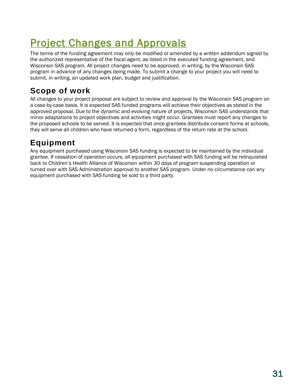# <span id="page-31-0"></span>Project Changes and Approvals

The terms of the funding agreement may only be modified or amended by a written addendum signed by the authorized representative of the fiscal agent, as listed in the executed funding agreement, and Wisconsin SAS program. All project changes need to be approved, in writing, by the Wisconsin SAS program in advance of any changes being made. To submit a change to your project you will need to submit, in writing, an updated work plan, budget and justification.

### <span id="page-31-1"></span>**Scope of work**

All changes to your project proposal are subject to review and approval by the Wisconsin SAS program on a case-by-case basis. It is expected SAS funded programs will achieve their objectives as stated in the approved proposal. Due to the dynamic and evolving nature of projects, Wisconsin SAS understands that minor adaptations to project objectives and activities might occur. Grantees must report any changes to the proposed schools to be served. It is expected that once grantees distribute consent forms at schools, they will serve all children who have returned a form, regardless of the return rate at the school.

### <span id="page-31-2"></span>**Equipment**

Any equipment purchased using Wisconsin SAS funding is expected to be maintained by the individual grantee. If cessation of operation occurs, all equipment purchased with SAS funding will be relinquished back to Children's Health Alliance of Wisconsin within 30 days of program suspending operation or turned over with SAS Administration approval to another SAS program. Under no circumstance can any equipment purchased with SAS funding be sold to a third party.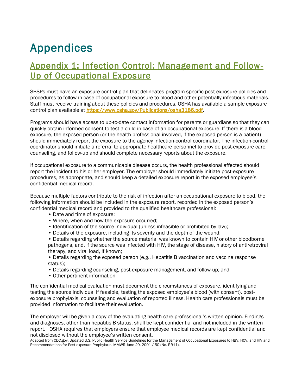# <span id="page-32-0"></span>Appendices

### <span id="page-32-1"></span>Appendix 1: Infection Control: Management and Follow-Up of Occupational Exposure

SBSPs must have an exposure-control plan that delineates program specific post-exposure policies and procedures to follow in case of occupational exposure to blood and other potentially infectious materials. Staff must receive training about these policies and procedures. OSHA has available a sample exposure control plan available at [https://www.osha.gov/Publications/osha3186.pdf.](https://www.osha.gov/Publications/osha3186.pdf)

Programs should have access to up-to-date contact information for parents or guardians so that they can quickly obtain informed consent to test a child in case of an occupational exposure. If there is a blood exposure, the exposed person (or the health professional involved, if the exposed person is a patient) should immediately report the exposure to the agency infection-control coordinator. The infection-control coordinator should initiate a referral to appropriate healthcare personnel to provide post-exposure care, counseling, and follow-up and should complete necessary reports about the exposure.

If occupational exposure to a communicable disease occurs, the health professional affected should report the incident to his or her employer. The employer should immediately initiate post-exposure procedures, as appropriate, and should keep a detailed exposure report in the exposed employee's confidential medical record.

Because multiple factors contribute to the risk of infection after an occupational exposure to blood, the following information should be included in the exposure report, recorded in the exposed person's confidential medical record and provided to the qualified healthcare professional:

- Date and time of exposure;
- Where, when and how the exposure occurred;
- Identification of the source individual (unless infeasible or prohibited by law);
- Details of the exposure, including its severity and the depth of the wound;
- Details regarding whether the source material was known to contain HIV or other bloodborne pathogens, and, if the source was infected with HIV, the stage of disease, history of antiretroviral therapy, and viral load, if known;

• Details regarding the exposed person (e.g., Hepatitis B vaccination and vaccine response status);

- Details regarding counseling, post-exposure management, and follow-up; and
- Other pertinent information

The confidential medical evaluation must document the circumstances of exposure, identifying and testing the source individual if feasible, testing the exposed employee's blood (with consent), postexposure prophylaxis, counseling and evaluation of reported illness. Health care professionals must be provided information to facilitate their evaluation.

The employer will be given a copy of the evaluating health care professional's written opinion. Findings and diagnoses, other than hepatitis B status, shall be kept confidential and not included in the written report. OSHA requires that employers ensure that employee medical records are kept confidential and not disclosed without the employee's written consent.

Adapted from CDC.gov. Updated U.S. Public Health Service Guidelines for the Management of Occupational Exposures to HBV, HCV, and HIV and Recommendations for Post-exposure Prophylaxis. MMWR June 29, 2001 / 50 (No. RR11).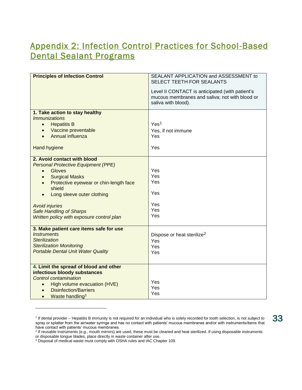### <span id="page-33-0"></span>Appendix 2: Infection Control Practices for School-Based Dental Sealant Programs

| <b>Principles of Infection Control</b>                               | SEALANT APPLICATION and ASSESSMENT to                                                                                    |
|----------------------------------------------------------------------|--------------------------------------------------------------------------------------------------------------------------|
|                                                                      | SELECT TEETH FOR SEALANTS                                                                                                |
|                                                                      | Level II CONTACT is anticipated (with patient's<br>mucous membranes and saliva; not with blood or<br>saliva with blood). |
| 1. Take action to stay healthy<br><i>Immunizations</i>               |                                                                                                                          |
| <b>Hepatitis B</b><br>$\bullet$                                      | Yes <sup>1</sup>                                                                                                         |
| Vaccine preventable<br>$\bullet$                                     | Yes, if not immune                                                                                                       |
| Annual influenza<br>$\bullet$                                        | Yes                                                                                                                      |
| <b>Hand hygiene</b>                                                  | Yes                                                                                                                      |
| 2. Avoid contact with blood                                          |                                                                                                                          |
| <b>Personal Protective Equipment (PPE)</b>                           |                                                                                                                          |
| Gloves<br>$\bullet$                                                  | Yes                                                                                                                      |
| <b>Surgical Masks</b><br>$\bullet$                                   | Yes<br>Yes                                                                                                               |
| Protective eyewear or chin-length face<br>$\bullet$                  |                                                                                                                          |
| shield                                                               | Yes                                                                                                                      |
| Long sleeve outer clothing<br>$\bullet$                              |                                                                                                                          |
| <b>Avoid injuries</b>                                                | Yes                                                                                                                      |
| <b>Safe Handling of Sharps</b>                                       | Yes                                                                                                                      |
| Written policy with exposure control plan                            | Yes                                                                                                                      |
|                                                                      |                                                                                                                          |
| 3. Make patient care items safe for use<br><i><b>Instruments</b></i> |                                                                                                                          |
| <b>Sterilization</b>                                                 | Dispose or heat sterilize <sup>2</sup><br>Yes                                                                            |
| <b>Sterilization Monitoring</b>                                      | Yes                                                                                                                      |
| <b>Portable Dental Unit Water Quality</b>                            | Yes                                                                                                                      |
|                                                                      |                                                                                                                          |
| 4. Limit the spread of blood and other                               |                                                                                                                          |
| infectious bloody substances                                         |                                                                                                                          |
| Control contamination                                                | Yes                                                                                                                      |
| High volume evacuation (HVE)<br>$\bullet$                            | Yes                                                                                                                      |
| <b>Disinfection/Barriers</b><br>$\bullet$                            | Yes                                                                                                                      |
| Waste handling <sup>3</sup><br>$\bullet$                             |                                                                                                                          |

<sup>&</sup>lt;sup>1</sup> If dental provider – Hepatitis B immunity is not required for an individual who is solely recorded for tooth selection, is not subject to spray or splatter from the air/water syringe and has no contact with patients' mucous membranes and/or with instruments/items that have contact with patients' mucous membranes.

l

33

<sup>&</sup>lt;sup>2</sup> If reusable instruments (e.g., mouth mirrors) are used, these must be cleaned and heat sterilized. If using disposable instruments or disposable tongue blades, place directly in waste container after use.

 $3$  Disposal of medical waste must comply with OSHA rules and IAC Chapter 109.